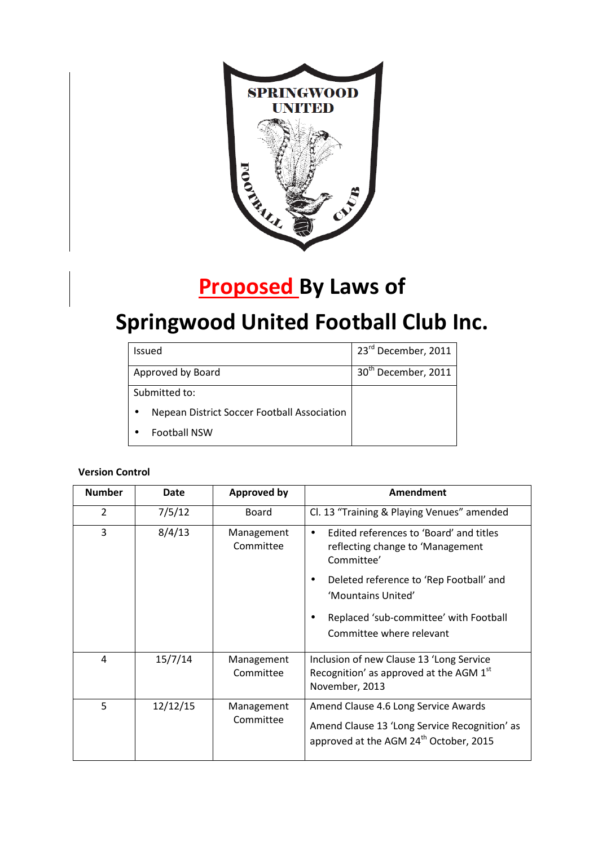

# **Proposed By Laws of**

# **Springwood United Football Club Inc.**

| <b>Issued</b>                               | 23rd December, 2011             |
|---------------------------------------------|---------------------------------|
| Approved by Board                           | 30 <sup>th</sup> December, 2011 |
| Submitted to:                               |                                 |
| Nepean District Soccer Football Association |                                 |
| <b>Football NSW</b>                         |                                 |

# **Version Control**

| <b>Number</b>  | Date     | <b>Approved by</b>      | Amendment                                                                                                                                   |
|----------------|----------|-------------------------|---------------------------------------------------------------------------------------------------------------------------------------------|
| $\overline{2}$ | 7/5/12   | Board                   | Cl. 13 "Training & Playing Venues" amended                                                                                                  |
| 3              | 8/4/13   | Management<br>Committee | Edited references to 'Board' and titles<br>$\bullet$<br>reflecting change to 'Management<br>Committee'                                      |
|                |          |                         | Deleted reference to 'Rep Football' and<br>'Mountains United'                                                                               |
|                |          |                         | Replaced 'sub-committee' with Football<br>Committee where relevant                                                                          |
| 4              | 15/7/14  | Management<br>Committee | Inclusion of new Clause 13 'Long Service<br>Recognition' as approved at the AGM 1st<br>November, 2013                                       |
| 5              | 12/12/15 | Management<br>Committee | Amend Clause 4.6 Long Service Awards<br>Amend Clause 13 'Long Service Recognition' as<br>approved at the AGM 24 <sup>th</sup> October, 2015 |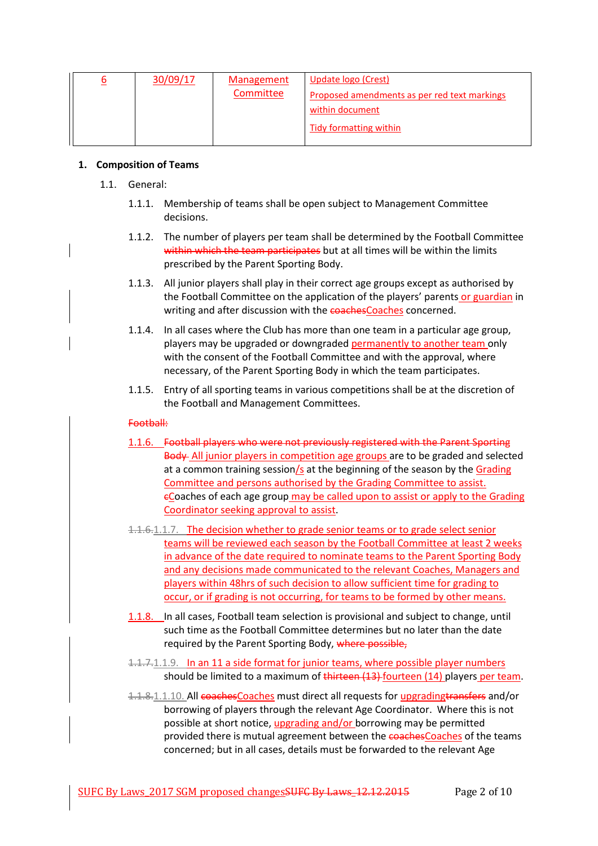| 30/09/17 | <b>Management</b><br>Committee | Update logo (Crest)<br>Proposed amendments as per red text markings<br>within document |
|----------|--------------------------------|----------------------------------------------------------------------------------------|
|          |                                | Tidy formatting within                                                                 |

### **1. Composition of Teams**

- 1.1. General:
	- 1.1.1. Membership of teams shall be open subject to Management Committee decisions.
	- 1.1.2. The number of players per team shall be determined by the Football Committee within which the team participates but at all times will be within the limits prescribed by the Parent Sporting Body.
	- 1.1.3. All junior players shall play in their correct age groups except as authorised by the Football Committee on the application of the players' parents or guardian in writing and after discussion with the coachesCoaches concerned.
	- 1.1.4. In all cases where the Club has more than one team in a particular age group, players may be upgraded or downgraded permanently to another team only with the consent of the Football Committee and with the approval, where necessary, of the Parent Sporting Body in which the team participates.
	- 1.1.5. Entry of all sporting teams in various competitions shall be at the discretion of the Football and Management Committees.

### Football:

- 1.1.6. Football players who were not previously registered with the Parent Sporting Body All junior players in competition age groups are to be graded and selected at a common training session/s at the beginning of the season by the Grading Committee and persons authorised by the Grading Committee to assist. eCoaches of each age group may be called upon to assist or apply to the Grading Coordinator seeking approval to assist.
- 1.1.6.1.1.7. The decision whether to grade senior teams or to grade select senior teams will be reviewed each season by the Football Committee at least 2 weeks in advance of the date required to nominate teams to the Parent Sporting Body and any decisions made communicated to the relevant Coaches, Managers and players within 48hrs of such decision to allow sufficient time for grading to occur, or if grading is not occurring, for teams to be formed by other means.
- 1.1.8. In all cases, Football team selection is provisional and subject to change, until such time as the Football Committee determines but no later than the date required by the Parent Sporting Body, where possible,
- 1.1.7.1.1.9. In an 11 a side format for junior teams, where possible player numbers should be limited to a maximum of thirteen (13) fourteen (14) players per team.
- 1.1.8.1.1.10. All coachesCoaches must direct all requests for upgrading transfers and/or borrowing of players through the relevant Age Coordinator. Where this is not possible at short notice, upgrading and/or borrowing may be permitted provided there is mutual agreement between the coachesCoaches of the teams concerned; but in all cases, details must be forwarded to the relevant Age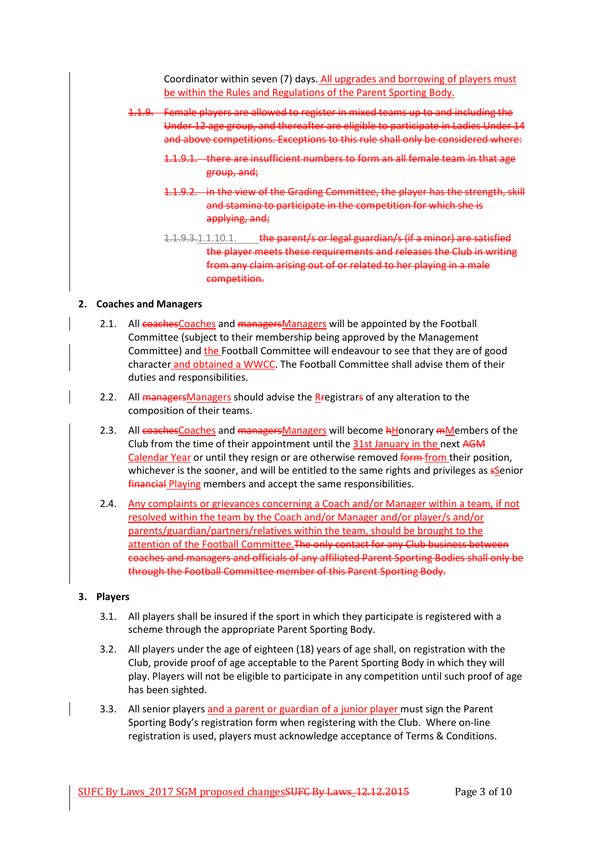Coordinator within seven (7) days. All upgrades and borrowing of players must be within the Rules and Regulations of the Parent Sporting Body.

- 1.1.9. Female players are allowed to register in mixed teams up to and including the Under 12 age group, and thereafter are eligible to participate in Ladies Under 14 and above competitions. Exceptions to this rule shall only be considered where:
	- 1.1.9.1. there are insufficient numbers to form an all female team in that age group, and;
	- 1.1.9.2. in the view of the Grading Committee, the player has the strength, skill and stamina to participate in the competition for which she is applying, and;
	- 1.1.9.3.1.1.10.1. the parent/s or legal guardian/s (if a minor) are satisfied the player meets these requirements and releases the Club in writing from any claim arising out of or related to her playing in a male competition.

## **2. Coaches and Managers**

- 2.1. All coachesCoaches and managersManagers will be appointed by the Football Committee (subject to their membership being approved by the Management Committee) and the Football Committee will endeavour to see that they are of good character and obtained a WWCC. The Football Committee shall advise them of their duties and responsibilities.
- 2.2. All managers Managers should advise the Rregistrars of any alteration to the composition of their teams.
- 2.3. All coaches Coaches and managers Managers will become hHonorary mMembers of the Club from the time of their appointment until the 31st January in the next AGM Calendar Year or until they resign or are otherwise removed form from their position, whichever is the sooner, and will be entitled to the same rights and privileges as ssenior financial Playing members and accept the same responsibilities.
- 2.4. Any complaints or grievances concerning a Coach and/or Manager within a team, if not resolved within the team by the Coach and/or Manager and/or player/s and/or parents/guardian/partners/relatives within the team, should be brought to the attention of the Football Committee.The only contact for any Club business between coaches and managers and officials of any affiliated Parent Sporting Bodies shall only be through the Football Committee member of this Parent Sporting Body.

#### **3. Players**

- 3.1. All players shall be insured if the sport in which they participate is registered with a scheme through the appropriate Parent Sporting Body.
- 3.2. All players under the age of eighteen (18) years of age shall, on registration with the Club, provide proof of age acceptable to the Parent Sporting Body in which they will play. Players will not be eligible to participate in any competition until such proof of age has been sighted.
- 3.3. All senior players and a parent or guardian of a junior player must sign the Parent Sporting Body's registration form when registering with the Club. Where on-line registration is used, players must acknowledge acceptance of Terms & Conditions.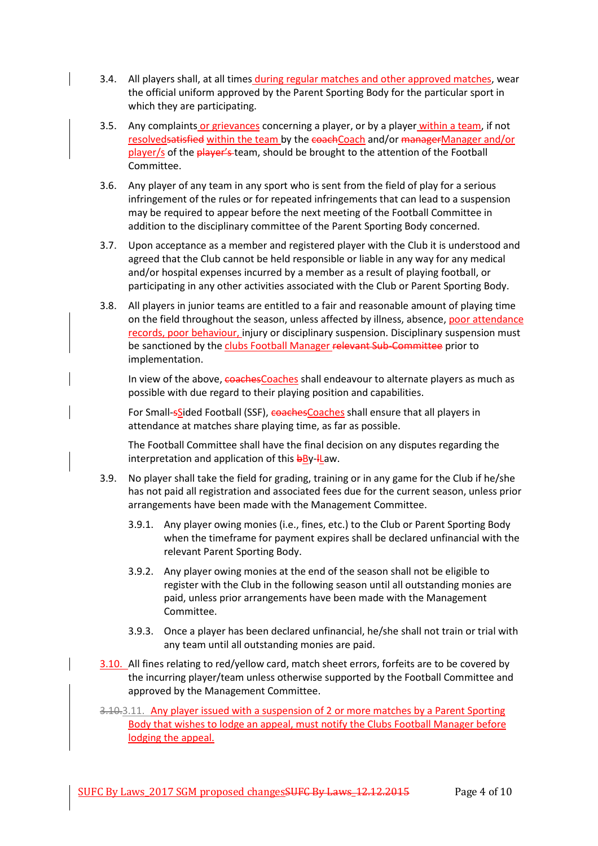- 3.4. All players shall, at all times during regular matches and other approved matches, wear the official uniform approved by the Parent Sporting Body for the particular sport in which they are participating.
- 3.5. Any complaints or grievances concerning a player, or by a player within a team, if not resolvedsatisfied within the team by the coachCoach and/or managerManager and/or player/s of the player's team, should be brought to the attention of the Football Committee.
- 3.6. Any player of any team in any sport who is sent from the field of play for a serious infringement of the rules or for repeated infringements that can lead to a suspension may be required to appear before the next meeting of the Football Committee in addition to the disciplinary committee of the Parent Sporting Body concerned.
- 3.7. Upon acceptance as a member and registered player with the Club it is understood and agreed that the Club cannot be held responsible or liable in any way for any medical and/or hospital expenses incurred by a member as a result of playing football, or participating in any other activities associated with the Club or Parent Sporting Body.
- 3.8. All players in junior teams are entitled to a fair and reasonable amount of playing time on the field throughout the season, unless affected by illness, absence, poor attendance records, poor behaviour, injury or disciplinary suspension. Disciplinary suspension must be sanctioned by the clubs Football Manager relevant Sub-Committee prior to implementation.

In view of the above, coachesCoaches shall endeavour to alternate players as much as possible with due regard to their playing position and capabilities.

For Small-sSided Football (SSF), coachesCoaches shall ensure that all players in attendance at matches share playing time, as far as possible.

The Football Committee shall have the final decision on any disputes regarding the interpretation and application of this  $b$ By- $l$ Law.

- 3.9. No player shall take the field for grading, training or in any game for the Club if he/she has not paid all registration and associated fees due for the current season, unless prior arrangements have been made with the Management Committee.
	- 3.9.1. Any player owing monies (i.e., fines, etc.) to the Club or Parent Sporting Body when the timeframe for payment expires shall be declared unfinancial with the relevant Parent Sporting Body.
	- 3.9.2. Any player owing monies at the end of the season shall not be eligible to register with the Club in the following season until all outstanding monies are paid, unless prior arrangements have been made with the Management Committee.
	- 3.9.3. Once a player has been declared unfinancial, he/she shall not train or trial with any team until all outstanding monies are paid.
- 3.10. All fines relating to red/yellow card, match sheet errors, forfeits are to be covered by the incurring player/team unless otherwise supported by the Football Committee and approved by the Management Committee.
- 3.10.3.11. Any player issued with a suspension of 2 or more matches by a Parent Sporting Body that wishes to lodge an appeal, must notify the Clubs Football Manager before lodging the appeal.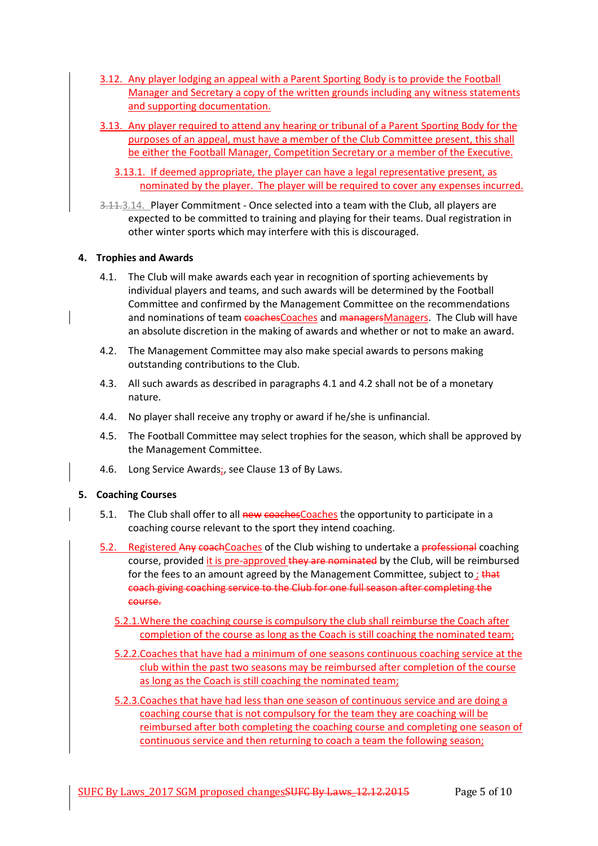- 3.12. Any player lodging an appeal with a Parent Sporting Body is to provide the Football Manager and Secretary a copy of the written grounds including any witness statements and supporting documentation.
- 3.13. Any player required to attend any hearing or tribunal of a Parent Sporting Body for the purposes of an appeal, must have a member of the Club Committee present, this shall be either the Football Manager, Competition Secretary or a member of the Executive.
	- 3.13.1. If deemed appropriate, the player can have a legal representative present, as nominated by the player. The player will be required to cover any expenses incurred.
- 3.11.3.14. Player Commitment Once selected into a team with the Club, all players are expected to be committed to training and playing for their teams. Dual registration in other winter sports which may interfere with this is discouraged.

## **4. Trophies and Awards**

- 4.1. The Club will make awards each year in recognition of sporting achievements by individual players and teams, and such awards will be determined by the Football Committee and confirmed by the Management Committee on the recommendations and nominations of team coachesCoaches and managersManagers. The Club will have an absolute discretion in the making of awards and whether or not to make an award.
- 4.2. The Management Committee may also make special awards to persons making outstanding contributions to the Club.
- 4.3. All such awards as described in paragraphs 4.1 and 4.2 shall not be of a monetary nature.
- 4.4. No player shall receive any trophy or award if he/she is unfinancial.
- 4.5. The Football Committee may select trophies for the season, which shall be approved by the Management Committee.
- 4.6. Long Service Awards;, see Clause 13 of By Laws.

# **5. Coaching Courses**

- 5.1. The Club shall offer to all new coaches Coaches the opportunity to participate in a coaching course relevant to the sport they intend coaching.
- 5.2. Registered Any coachCoaches of the Club wishing to undertake a professional coaching course, provided it is pre-approved they are nominated by the Club, will be reimbursed for the fees to an amount agreed by the Management Committee, subject to; that coach giving coaching service to the Club for one full season after completing the course.
	- 5.2.1.Where the coaching course is compulsory the club shall reimburse the Coach after completion of the course as long as the Coach is still coaching the nominated team;
	- 5.2.2.Coaches that have had a minimum of one seasons continuous coaching service at the club within the past two seasons may be reimbursed after completion of the course as long as the Coach is still coaching the nominated team;
	- 5.2.3.Coaches that have had less than one season of continuous service and are doing a coaching course that is not compulsory for the team they are coaching will be reimbursed after both completing the coaching course and completing one season of continuous service and then returning to coach a team the following season;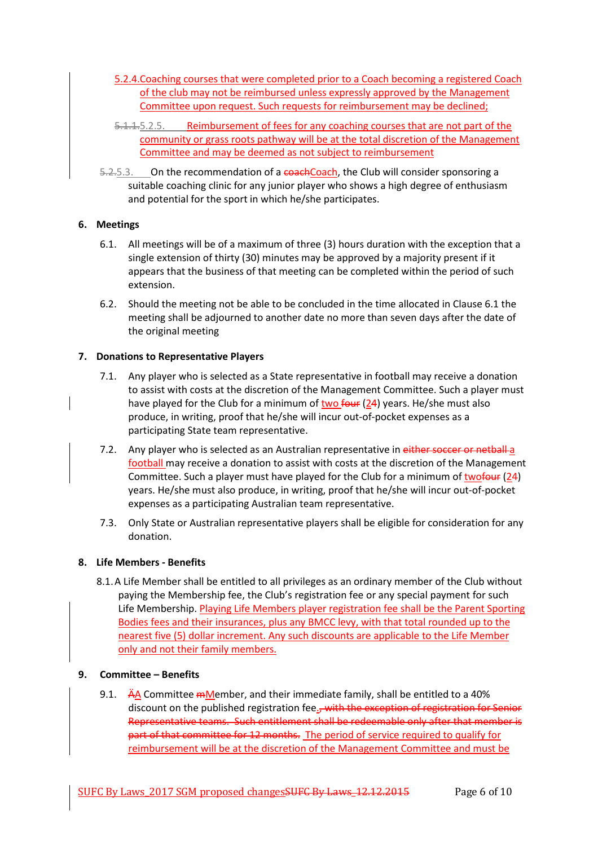- 5.2.4.Coaching courses that were completed prior to a Coach becoming a registered Coach of the club may not be reimbursed unless expressly approved by the Management Committee upon request. Such requests for reimbursement may be declined;
- 5.1.1.5.2.5. Reimbursement of fees for any coaching courses that are not part of the community or grass roots pathway will be at the total discretion of the Management Committee and may be deemed as not subject to reimbursement
- 5.2.5.3. On the recommendation of a coach Coach, the Club will consider sponsoring a suitable coaching clinic for any junior player who shows a high degree of enthusiasm and potential for the sport in which he/she participates.

## **6. Meetings**

- 6.1. All meetings will be of a maximum of three (3) hours duration with the exception that a single extension of thirty (30) minutes may be approved by a majority present if it appears that the business of that meeting can be completed within the period of such extension.
- 6.2. Should the meeting not be able to be concluded in the time allocated in Clause 6.1 the meeting shall be adjourned to another date no more than seven days after the date of the original meeting

## **7. Donations to Representative Players**

- 7.1. Any player who is selected as a State representative in football may receive a donation to assist with costs at the discretion of the Management Committee. Such a player must have played for the Club for a minimum of two  $f_{\theta}$  (24) years. He/she must also produce, in writing, proof that he/she will incur out-of-pocket expenses as a participating State team representative.
- 7.2. Any player who is selected as an Australian representative in either soccer or netball-a football may receive a donation to assist with costs at the discretion of the Management Committee. Such a player must have played for the Club for a minimum of twofour (24) years. He/she must also produce, in writing, proof that he/she will incur out-of-pocket expenses as a participating Australian team representative.
- 7.3. Only State or Australian representative players shall be eligible for consideration for any donation.

#### **8. Life Members - Benefits**

8.1.A Life Member shall be entitled to all privileges as an ordinary member of the Club without paying the Membership fee, the Club's registration fee or any special payment for such Life Membership. Playing Life Members player registration fee shall be the Parent Sporting Bodies fees and their insurances, plus any BMCC levy, with that total rounded up to the nearest five (5) dollar increment. Any such discounts are applicable to the Life Member only and not their family members.

#### **9. Committee – Benefits**

9.1.  $\overrightarrow{A}$  A Committee mMember, and their immediate family, shall be entitled to a 40% discount on the published registration fee., with the exception of registration for Senior Representative teams. Such entitlement shall be redeemable only after that member is part of that committee for 12 months. The period of service required to qualify for reimbursement will be at the discretion of the Management Committee and must be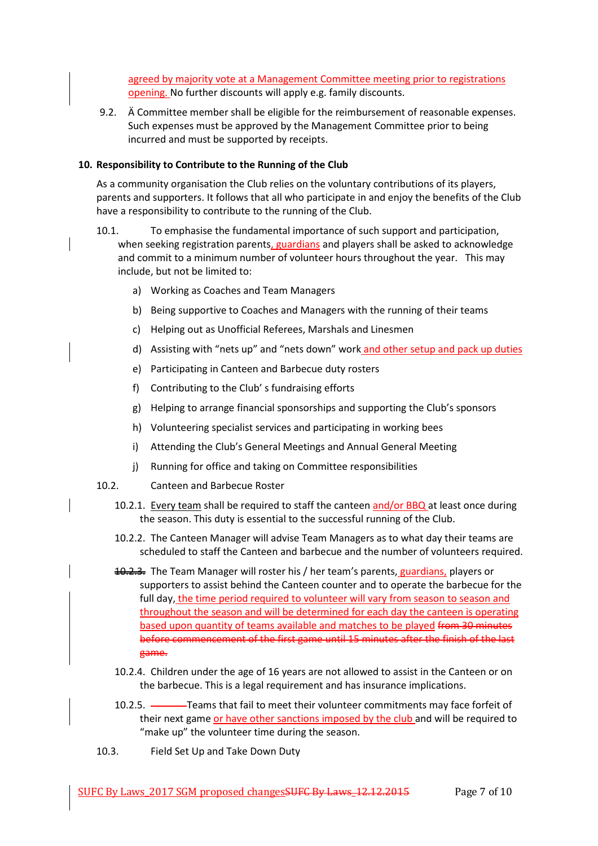agreed by majority vote at a Management Committee meeting prior to registrations opening. No further discounts will apply e.g. family discounts.

9.2. Ä Committee member shall be eligible for the reimbursement of reasonable expenses. Such expenses must be approved by the Management Committee prior to being incurred and must be supported by receipts.

## **10. Responsibility to Contribute to the Running of the Club**

As a community organisation the Club relies on the voluntary contributions of its players, parents and supporters. It follows that all who participate in and enjoy the benefits of the Club have a responsibility to contribute to the running of the Club.

- 10.1. To emphasise the fundamental importance of such support and participation, when seeking registration parents, guardians and players shall be asked to acknowledge and commit to a minimum number of volunteer hours throughout the year. This may include, but not be limited to:
	- a) Working as Coaches and Team Managers
	- b) Being supportive to Coaches and Managers with the running of their teams
	- c) Helping out as Unofficial Referees, Marshals and Linesmen
	- d) Assisting with "nets up" and "nets down" work and other setup and pack up duties
	- e) Participating in Canteen and Barbecue duty rosters
	- f) Contributing to the Club' s fundraising efforts
	- g) Helping to arrange financial sponsorships and supporting the Club's sponsors
	- h) Volunteering specialist services and participating in working bees
	- i) Attending the Club's General Meetings and Annual General Meeting
	- j) Running for office and taking on Committee responsibilities
- 10.2. Canteen and Barbecue Roster
	- 10.2.1. Every team shall be required to staff the canteen and/or BBQ at least once during the season. This duty is essential to the successful running of the Club.
	- 10.2.2. The Canteen Manager will advise Team Managers as to what day their teams are scheduled to staff the Canteen and barbecue and the number of volunteers required.
	- 10.2.3. The Team Manager will roster his / her team's parents, guardians, players or supporters to assist behind the Canteen counter and to operate the barbecue for the full day, the time period required to volunteer will vary from season to season and throughout the season and will be determined for each day the canteen is operating based upon quantity of teams available and matches to be played from 30 minutes before commencement of the first game until 15 minutes after the finish of the last game.
	- 10.2.4. Children under the age of 16 years are not allowed to assist in the Canteen or on the barbecue. This is a legal requirement and has insurance implications.
	- 10.2.5. Teams that fail to meet their volunteer commitments may face forfeit of their next game or have other sanctions imposed by the club and will be required to "make up" the volunteer time during the season.
- 10.3. Field Set Up and Take Down Duty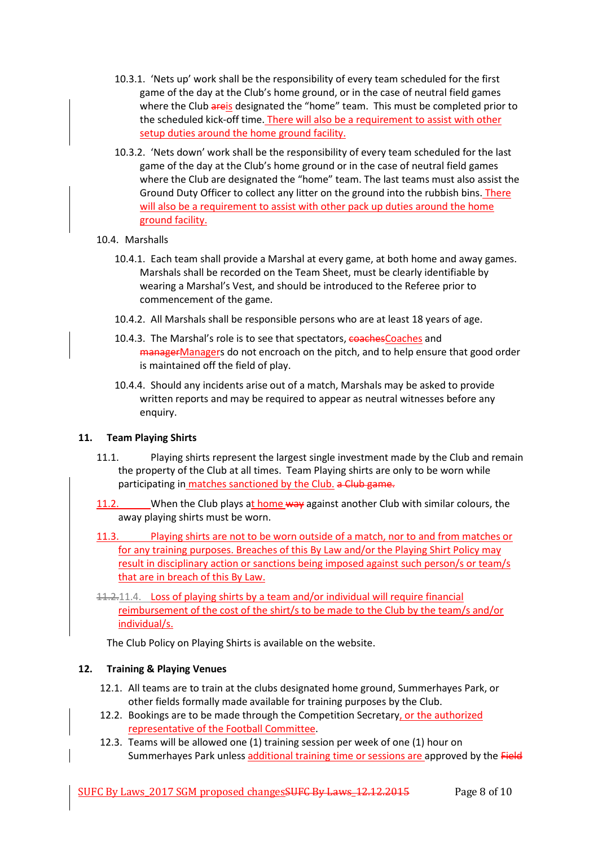- 10.3.1. 'Nets up' work shall be the responsibility of every team scheduled for the first game of the day at the Club's home ground, or in the case of neutral field games where the Club areis designated the "home" team. This must be completed prior to the scheduled kick-off time. There will also be a requirement to assist with other setup duties around the home ground facility.
- 10.3.2. 'Nets down' work shall be the responsibility of every team scheduled for the last game of the day at the Club's home ground or in the case of neutral field games where the Club are designated the "home" team. The last teams must also assist the Ground Duty Officer to collect any litter on the ground into the rubbish bins. There will also be a requirement to assist with other pack up duties around the home ground facility.
- 10.4. Marshalls
	- 10.4.1. Each team shall provide a Marshal at every game, at both home and away games. Marshals shall be recorded on the Team Sheet, must be clearly identifiable by wearing a Marshal's Vest, and should be introduced to the Referee prior to commencement of the game.
	- 10.4.2. All Marshals shall be responsible persons who are at least 18 years of age.
	- 10.4.3. The Marshal's role is to see that spectators, coachesCoaches and managerManagers do not encroach on the pitch, and to help ensure that good order is maintained off the field of play.
	- 10.4.4. Should any incidents arise out of a match, Marshals may be asked to provide written reports and may be required to appear as neutral witnesses before any enquiry.

# **11. Team Playing Shirts**

- 11.1. Playing shirts represent the largest single investment made by the Club and remain the property of the Club at all times. Team Playing shirts are only to be worn while participating in matches sanctioned by the Club. a Club game.
- 11.2. When the Club plays at home way against another Club with similar colours, the away playing shirts must be worn.
- 11.3. Playing shirts are not to be worn outside of a match, nor to and from matches or for any training purposes. Breaches of this By Law and/or the Playing Shirt Policy may result in disciplinary action or sanctions being imposed against such person/s or team/s that are in breach of this By Law.
- 11.2.11.4. Loss of playing shirts by a team and/or individual will require financial reimbursement of the cost of the shirt/s to be made to the Club by the team/s and/or individual/s.

The Club Policy on Playing Shirts is available on the website.

# **12. Training & Playing Venues**

- 12.1. All teams are to train at the clubs designated home ground, Summerhayes Park, or other fields formally made available for training purposes by the Club.
- 12.2. Bookings are to be made through the Competition Secretary, or the authorized representative of the Football Committee.
- 12.3. Teams will be allowed one (1) training session per week of one (1) hour on Summerhayes Park unless additional training time or sessions are approved by the Field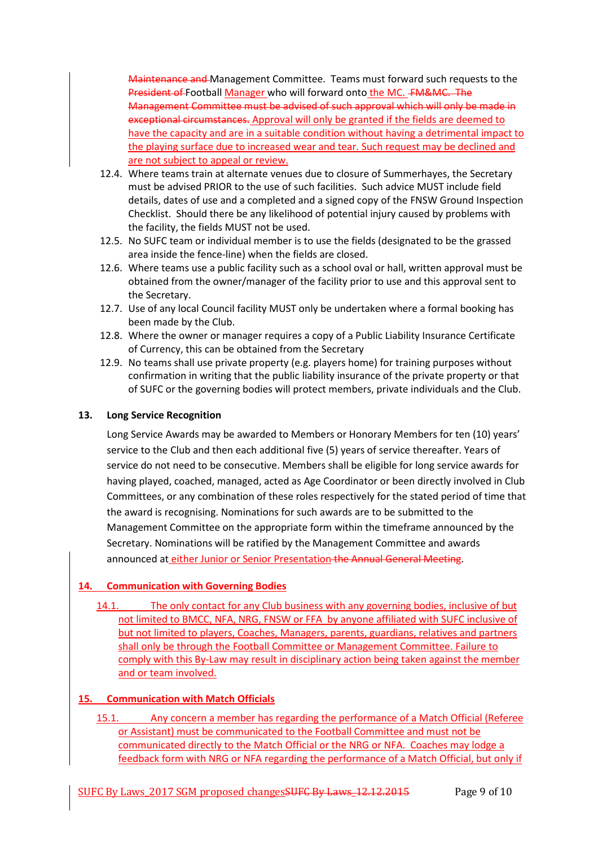Maintenance and Management Committee. Teams must forward such requests to the President of Football Manager who will forward onto the MC. FM&MC. The Management Committee must be advised of such approval which will only be made in exceptional circumstances. Approval will only be granted if the fields are deemed to have the capacity and are in a suitable condition without having a detrimental impact to the playing surface due to increased wear and tear. Such request may be declined and are not subject to appeal or review.

- 12.4. Where teams train at alternate venues due to closure of Summerhayes, the Secretary must be advised PRIOR to the use of such facilities. Such advice MUST include field details, dates of use and a completed and a signed copy of the FNSW Ground Inspection Checklist. Should there be any likelihood of potential injury caused by problems with the facility, the fields MUST not be used.
- 12.5. No SUFC team or individual member is to use the fields (designated to be the grassed area inside the fence-line) when the fields are closed.
- 12.6. Where teams use a public facility such as a school oval or hall, written approval must be obtained from the owner/manager of the facility prior to use and this approval sent to the Secretary.
- 12.7. Use of any local Council facility MUST only be undertaken where a formal booking has been made by the Club.
- 12.8. Where the owner or manager requires a copy of a Public Liability Insurance Certificate of Currency, this can be obtained from the Secretary
- 12.9. No teams shall use private property (e.g. players home) for training purposes without confirmation in writing that the public liability insurance of the private property or that of SUFC or the governing bodies will protect members, private individuals and the Club.

# **13. Long Service Recognition**

Long Service Awards may be awarded to Members or Honorary Members for ten (10) years' service to the Club and then each additional five (5) years of service thereafter. Years of service do not need to be consecutive. Members shall be eligible for long service awards for having played, coached, managed, acted as Age Coordinator or been directly involved in Club Committees, or any combination of these roles respectively for the stated period of time that the award is recognising. Nominations for such awards are to be submitted to the Management Committee on the appropriate form within the timeframe announced by the Secretary. Nominations will be ratified by the Management Committee and awards announced at either Junior or Senior Presentation the Annual General Meeting.

# **14. Communication with Governing Bodies**

14.1. The only contact for any Club business with any governing bodies, inclusive of but not limited to BMCC, NFA, NRG, FNSW or FFA by anyone affiliated with SUFC inclusive of but not limited to players, Coaches, Managers, parents, guardians, relatives and partners shall only be through the Football Committee or Management Committee. Failure to comply with this By-Law may result in disciplinary action being taken against the member and or team involved.

# **15. Communication with Match Officials**

15.1. Any concern a member has regarding the performance of a Match Official (Referee or Assistant) must be communicated to the Football Committee and must not be communicated directly to the Match Official or the NRG or NFA. Coaches may lodge a feedback form with NRG or NFA regarding the performance of a Match Official, but only if

SUFC By Laws 2017 SGM proposed changes SUFC By Laws 12.12.2015 Page 9 of 10